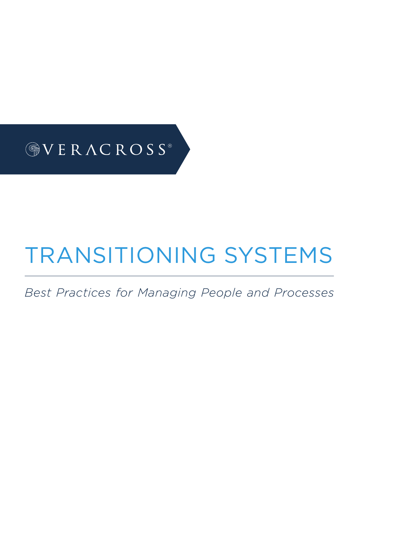

## TRANSITIONING SYSTEMS

*Best Practices for Managing People and Processes*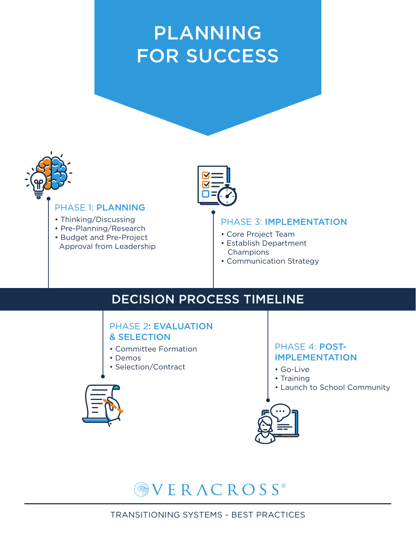#### PLANNING FOR SUCCESS



#### PHASE 1: PLANNING

- Thinking/Discussing
- Pre-Planning/Research
- Budget and Pre-Project Approval from Leadership



#### PHASE 3: IMPLEMENTATION

- Core Project Team
- Establish Department Champions
- Communication Strategy

#### DECISION PROCESS TIMELINE

#### PHASE 2: EVALUATION & SELECTION

- Committee Formation
- Demos
- Selection/Contract



#### PHASE 4: POST-IMPLEMENTATION

- Go-Live
- Training
- Launch to School Community



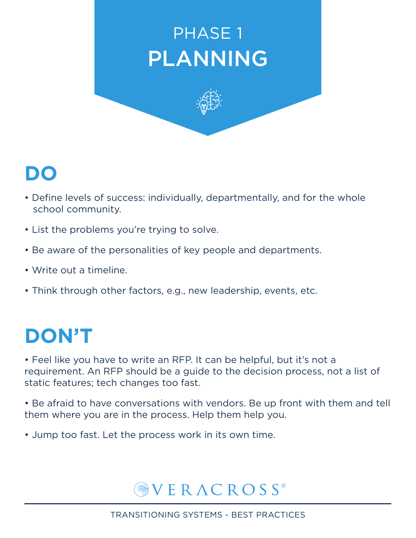### PHASE<sub>1</sub> PLANNING



#### **DO**

- Define levels of success: individually, departmentally, and for the whole school community.
- List the problems you're trying to solve.
- Be aware of the personalities of key people and departments.
- Write out a timeline.
- Think through other factors, e.g., new leadership, events, etc.

#### **DON'T**

• Feel like you have to write an RFP. It can be helpful, but it's not a requirement. An RFP should be a guide to the decision process, not a list of static features; tech changes too fast.

• Be afraid to have conversations with vendors. Be up front with them and tell them where you are in the process. Help them help you.

• Jump too fast. Let the process work in its own time.

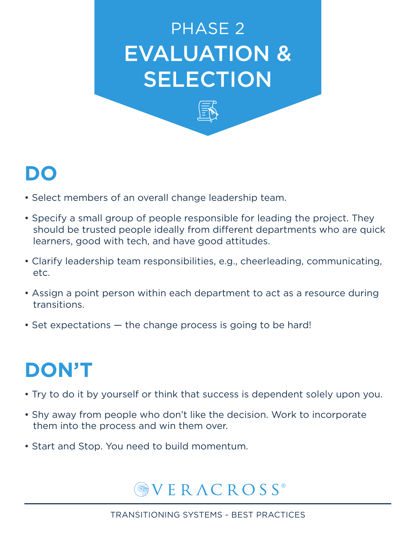### PHASE 2 EVALUATION & SELECTION



#### **DO**

- Select members of an overall change leadership team.
- Specify a small group of people responsible for leading the project. They should be trusted people ideally from different departments who are quick learners, good with tech, and have good attitudes.
- Clarify leadership team responsibilities, e.g., cheerleading, communicating, etc.
- Assign a point person within each department to act as a resource during transitions.
- Set expectations the change process is going to be hard!

#### **DON'T**

- Try to do it by yourself or think that success is dependent solely upon you.
- Shy away from people who don't like the decision. Work to incorporate them into the process and win them over.
- Start and Stop. You need to build momentum.

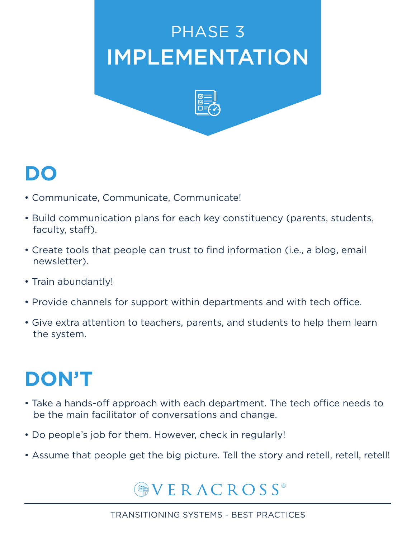### PHASE 3 IMPLEMENTATION



#### **DO**

- Communicate, Communicate, Communicate!
- Build communication plans for each key constituency (parents, students, faculty, staff).
- Create tools that people can trust to find information (i.e., a blog, email newsletter).
- Train abundantly!
- Provide channels for support within departments and with tech office.
- Give extra attention to teachers, parents, and students to help them learn the system.

### **DON'T**

- Take a hands-off approach with each department. The tech office needs to be the main facilitator of conversations and change.
- Do people's job for them. However, check in regularly!
- Assume that people get the big picture. Tell the story and retell, retell, retell!

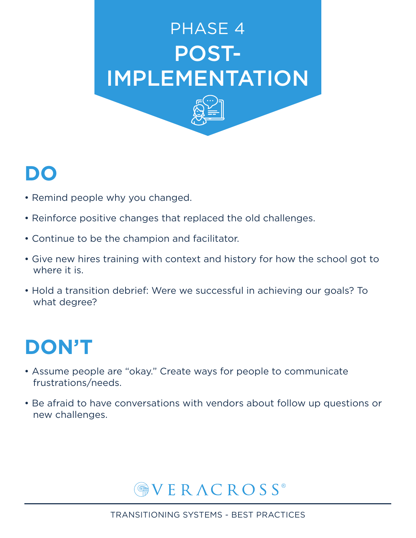# PHASE 4 POST-IMPLEMENTATION

#### **DO**

- Remind people why you changed.
- Reinforce positive changes that replaced the old challenges.
- Continue to be the champion and facilitator.
- Give new hires training with context and history for how the school got to where it is.
- Hold a transition debrief: Were we successful in achieving our goals? To what degree?

#### **DON'T**

- Assume people are "okay." Create ways for people to communicate frustrations/needs.
- Be afraid to have conversations with vendors about follow up questions or new challenges.